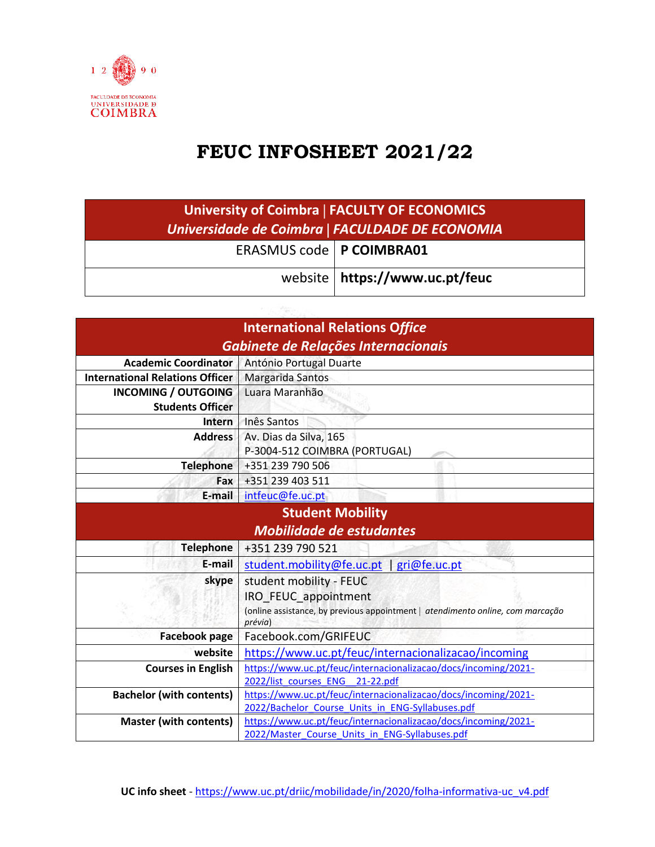

## **FEUC INFOSHEET 2021/22**

| <b>University of Coimbra   FACULTY OF ECONOMICS</b><br>Universidade de Coimbra   FACULDADE DE ECONOMIA |                                  |  |
|--------------------------------------------------------------------------------------------------------|----------------------------------|--|
| ERASMUS code   P COIMBRA01                                                                             |                                  |  |
|                                                                                                        | website   https://www.uc.pt/feuc |  |

| <b>International Relations Office</b>  |                                                                                           |  |
|----------------------------------------|-------------------------------------------------------------------------------------------|--|
| Gabinete de Relações Internacionais    |                                                                                           |  |
| <b>Academic Coordinator</b>            | António Portugal Duarte                                                                   |  |
| <b>International Relations Officer</b> | Margarida Santos                                                                          |  |
| <b>INCOMING / OUTGOING</b>             | Luara Maranhão                                                                            |  |
| <b>Students Officer</b>                |                                                                                           |  |
| Intern                                 | Inês Santos                                                                               |  |
| <b>Address</b>                         | Av. Dias da Silva, 165                                                                    |  |
|                                        | P-3004-512 COIMBRA (PORTUGAL)                                                             |  |
| <b>Telephone</b>                       | +351 239 790 506                                                                          |  |
| Fax                                    | +351 239 403 511                                                                          |  |
| E-mail                                 | intfeuc@fe.uc.pt                                                                          |  |
| <b>Student Mobility</b>                |                                                                                           |  |
| <b>Mobilidade de estudantes</b>        |                                                                                           |  |
| <b>Telephone</b>                       | +351 239 790 521                                                                          |  |
| E-mail                                 | student.mobility@fe.uc.pt   gri@fe.uc.pt                                                  |  |
| skype                                  | student mobility - FEUC                                                                   |  |
|                                        | IRO FEUC appointment                                                                      |  |
|                                        | (online assistance, by previous appointment   atendimento online, com marcação<br>prévia) |  |
| <b>Facebook page</b>                   | Facebook.com/GRIFEUC                                                                      |  |
| website                                | https://www.uc.pt/feuc/internacionalizacao/incoming                                       |  |
| <b>Courses in English</b>              | https://www.uc.pt/feuc/internacionalizacao/docs/incoming/2021-                            |  |
|                                        | 2022/list courses ENG 21-22.pdf                                                           |  |
| <b>Bachelor (with contents)</b>        | https://www.uc.pt/feuc/internacionalizacao/docs/incoming/2021-                            |  |
|                                        | 2022/Bachelor Course Units in ENG-Syllabuses.pdf                                          |  |
| <b>Master (with contents)</b>          | https://www.uc.pt/feuc/internacionalizacao/docs/incoming/2021-                            |  |
|                                        | 2022/Master Course Units in ENG-Syllabuses.pdf                                            |  |